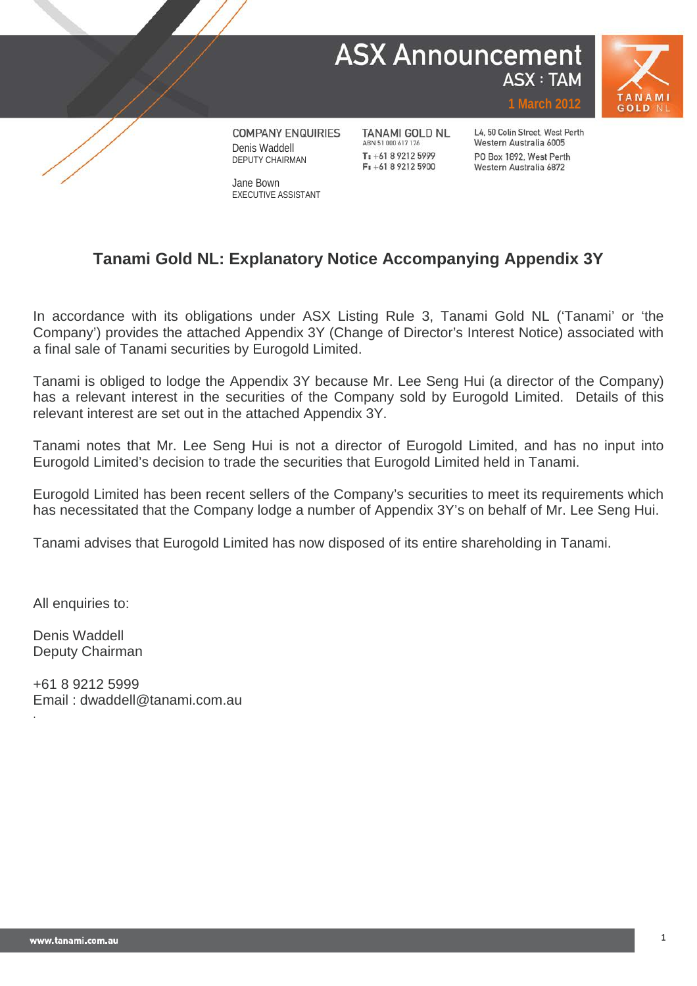# **ASX Announcement ASX: TAM**



**COMPANY ENQUIRIES** Denis Waddell DEPUTY CHAIRMAN

Jane Bown EXECUTIVE ASSISTANT **TANAMI GOLD NL** ABN 51 000 617 176 T: +61 8 9212 5999  $F: +61892125900$ 

L4, 50 Colin Street, West Perth Western Australia 6005 PO Box 1892, West Perth Western Australia 6872

## **Tanami Gold NL: Explanatory Notice Accompanying Appendix 3Y**

In accordance with its obligations under ASX Listing Rule 3, Tanami Gold NL ('Tanami' or 'the Company') provides the attached Appendix 3Y (Change of Director's Interest Notice) associated with a final sale of Tanami securities by Eurogold Limited.

Tanami is obliged to lodge the Appendix 3Y because Mr. Lee Seng Hui (a director of the Company) has a relevant interest in the securities of the Company sold by Eurogold Limited. Details of this relevant interest are set out in the attached Appendix 3Y.

Tanami notes that Mr. Lee Seng Hui is not a director of Eurogold Limited, and has no input into Eurogold Limited's decision to trade the securities that Eurogold Limited held in Tanami.

Eurogold Limited has been recent sellers of the Company's securities to meet its requirements which has necessitated that the Company lodge a number of Appendix 3Y's on behalf of Mr. Lee Seng Hui.

Tanami advises that Eurogold Limited has now disposed of its entire shareholding in Tanami.

All enquiries to:

Denis Waddell Deputy Chairman

.

+61 8 9212 5999 Email : dwaddell@tanami.com.au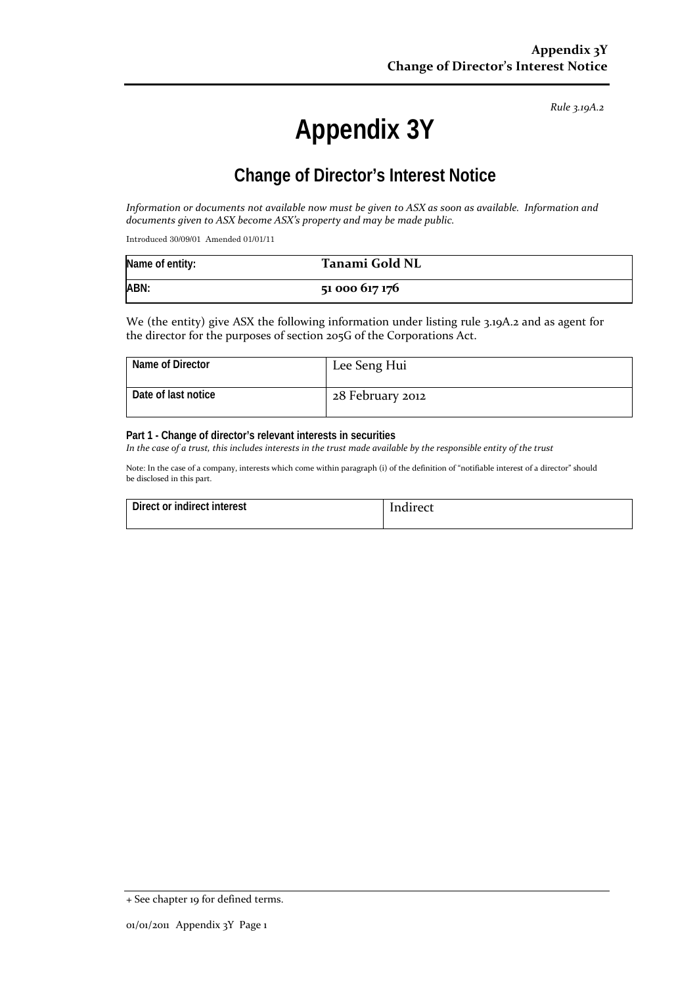*Rule 3.19A.2*

# **Appendix 3Y**

# **Change of Director's Interest Notice**

*Information or documents not available now must be given to ASX as soon as available. Information and documents given to ASX become ASX's property and may be made public.*

Introduced 30/09/01 Amended 01/01/11

| Name of entity: | Tanami Gold NL |
|-----------------|----------------|
| ABN:            | 51 000 617 176 |

We (the entity) give ASX the following information under listing rule 3.19A.2 and as agent for the director for the purposes of section 205G of the Corporations Act.

| Name of Director    | Lee Seng Hui     |
|---------------------|------------------|
| Date of last notice | 28 February 2012 |

#### **Part 1 - Change of director's relevant interests in securities**

*In the case of a trust, this includes interests in the trust made available by the responsible entity of the trust*

Note: In the case of a company, interests which come within paragraph (i) of the definition of "notifiable interest of a director" should be disclosed in this part.

| Direct or indirect interest | Indirect |
|-----------------------------|----------|
|                             |          |

<sup>+</sup> See chapter 19 for defined terms.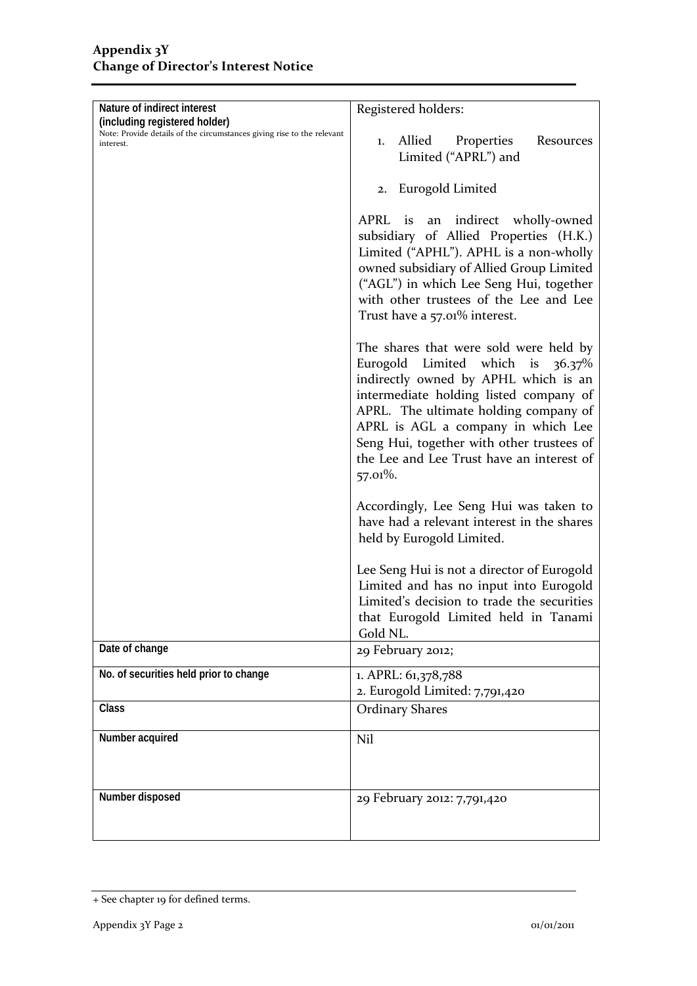| Nature of indirect interest                                                                                          | Registered holders:                                                                                                                                                                                                                                                                                                                              |  |
|----------------------------------------------------------------------------------------------------------------------|--------------------------------------------------------------------------------------------------------------------------------------------------------------------------------------------------------------------------------------------------------------------------------------------------------------------------------------------------|--|
| (including registered holder)<br>Note: Provide details of the circumstances giving rise to the relevant<br>interest. | Allied<br>Properties<br>Resources<br>1.<br>Limited ("APRL") and                                                                                                                                                                                                                                                                                  |  |
|                                                                                                                      | 2. Eurogold Limited                                                                                                                                                                                                                                                                                                                              |  |
|                                                                                                                      | APRL is an indirect wholly-owned<br>subsidiary of Allied Properties (H.K.)<br>Limited ("APHL"). APHL is a non-wholly<br>owned subsidiary of Allied Group Limited<br>("AGL") in which Lee Seng Hui, together<br>with other trustees of the Lee and Lee<br>Trust have a 57.01% interest.                                                           |  |
|                                                                                                                      | The shares that were sold were held by<br>Eurogold Limited which is 36.37%<br>indirectly owned by APHL which is an<br>intermediate holding listed company of<br>APRL. The ultimate holding company of<br>APRL is AGL a company in which Lee<br>Seng Hui, together with other trustees of<br>the Lee and Lee Trust have an interest of<br>57.01%. |  |
|                                                                                                                      | Accordingly, Lee Seng Hui was taken to<br>have had a relevant interest in the shares<br>held by Eurogold Limited.                                                                                                                                                                                                                                |  |
|                                                                                                                      | Lee Seng Hui is not a director of Eurogold<br>Limited and has no input into Eurogold<br>Limited's decision to trade the securities<br>that Eurogold Limited held in Tanami<br>Gold NL.                                                                                                                                                           |  |
| Date of change                                                                                                       | 29 February 2012;                                                                                                                                                                                                                                                                                                                                |  |
| No. of securities held prior to change                                                                               | 1. APRL: 61,378,788<br>2. Eurogold Limited: 7,791,420                                                                                                                                                                                                                                                                                            |  |
| Class                                                                                                                | <b>Ordinary Shares</b>                                                                                                                                                                                                                                                                                                                           |  |
| Number acquired                                                                                                      | Nil                                                                                                                                                                                                                                                                                                                                              |  |
| Number disposed                                                                                                      | 29 February 2012: 7,791,420                                                                                                                                                                                                                                                                                                                      |  |

<sup>+</sup> See chapter 19 for defined terms.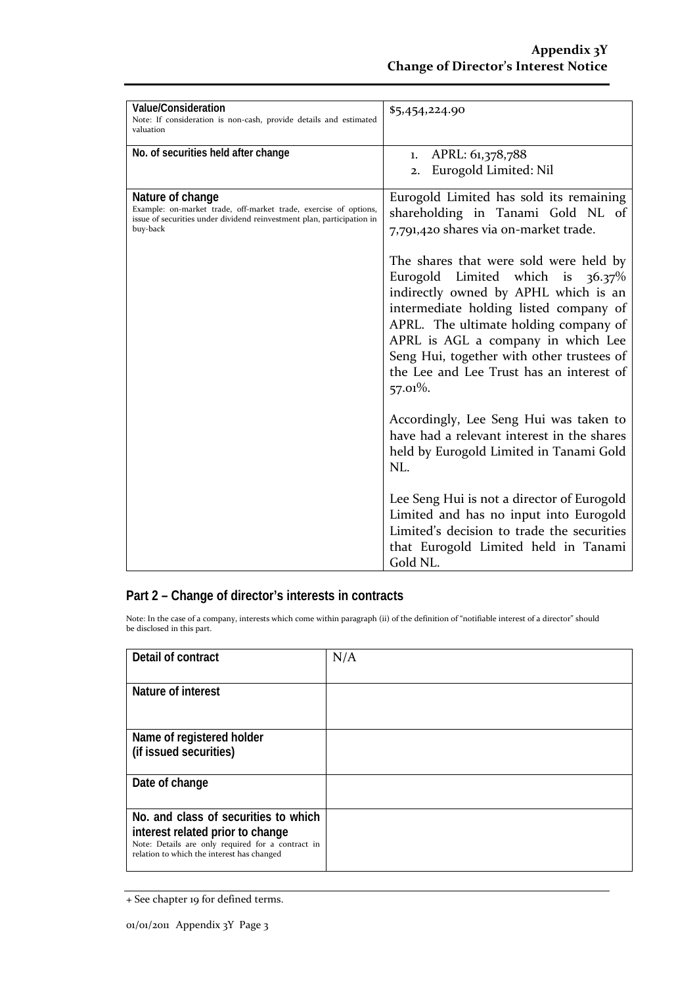| Value/Consideration<br>Note: If consideration is non-cash, provide details and estimated<br>valuation                                                                      | \$5,454,224.90                                                                                                                                                                                                                                                                                                                                                                                                                                                                                                                                                                                                 |
|----------------------------------------------------------------------------------------------------------------------------------------------------------------------------|----------------------------------------------------------------------------------------------------------------------------------------------------------------------------------------------------------------------------------------------------------------------------------------------------------------------------------------------------------------------------------------------------------------------------------------------------------------------------------------------------------------------------------------------------------------------------------------------------------------|
| No. of securities held after change                                                                                                                                        | APRL: 61,378,788<br>1.<br>Eurogold Limited: Nil<br>2.                                                                                                                                                                                                                                                                                                                                                                                                                                                                                                                                                          |
| Nature of change<br>Example: on-market trade, off-market trade, exercise of options,<br>issue of securities under dividend reinvestment plan, participation in<br>buy-back | Eurogold Limited has sold its remaining<br>shareholding in Tanami Gold NL of<br>7,791,420 shares via on-market trade.<br>The shares that were sold were held by<br>Eurogold Limited which is $36.37\%$<br>indirectly owned by APHL which is an<br>intermediate holding listed company of<br>APRL. The ultimate holding company of<br>APRL is AGL a company in which Lee<br>Seng Hui, together with other trustees of<br>the Lee and Lee Trust has an interest of<br>57.01%.<br>Accordingly, Lee Seng Hui was taken to<br>have had a relevant interest in the shares<br>held by Eurogold Limited in Tanami Gold |
|                                                                                                                                                                            | NL.<br>Lee Seng Hui is not a director of Eurogold<br>Limited and has no input into Eurogold<br>Limited's decision to trade the securities<br>that Eurogold Limited held in Tanami<br>Gold NL.                                                                                                                                                                                                                                                                                                                                                                                                                  |

#### **Part 2 – Change of director's interests in contracts**

Note: In the case of a company, interests which come within paragraph (ii) of the definition of "notifiable interest of a director" should be disclosed in this part.

| Detail of contract                                                                                                                  | N/A |
|-------------------------------------------------------------------------------------------------------------------------------------|-----|
| Nature of interest                                                                                                                  |     |
|                                                                                                                                     |     |
| Name of registered holder                                                                                                           |     |
| (if issued securities)                                                                                                              |     |
| Date of change                                                                                                                      |     |
| No. and class of securities to which                                                                                                |     |
| interest related prior to change<br>Note: Details are only required for a contract in<br>relation to which the interest has changed |     |

<sup>+</sup> See chapter 19 for defined terms.